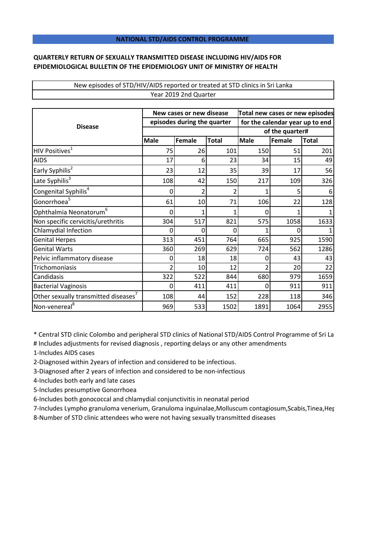## **NATIONAL STD/AIDS CONTROL PROGRAMME**

## **QUARTERLY RETURN OF SEXUALLY TRANSMITTED DISEASE INCLUDING HIV/AIDS FOR EPIDEMIOLOGICAL BULLETIN OF THE EPIDEMIOLOGY UNIT OF MINISTRY OF HEALTH**

## New episodes of STD/HIV/AIDS reported or treated at STD clinics in Sri Lanka Year 2019 2nd Quarter

| <b>Disease</b>                                   | New cases or new disease    |        |              | Total new cases or new episodes |        |              |
|--------------------------------------------------|-----------------------------|--------|--------------|---------------------------------|--------|--------------|
|                                                  | episodes during the quarter |        |              | for the calendar year up to end |        |              |
|                                                  |                             |        |              | of the quarter#                 |        |              |
|                                                  | <b>Male</b>                 | Female | <b>Total</b> | <b>Male</b>                     | Female | <b>Total</b> |
| HIV Positives <sup>1</sup>                       | 75                          | 26     | 101          | 150                             | 51     | 201          |
| <b>AIDS</b>                                      | 17                          | 6      | 23           | 34                              | 15     | 49           |
| Early Syphilis <sup>2</sup>                      | 23                          | 12     | 35           | 39                              | 17     | 56           |
| Late Syphilis <sup>3</sup>                       | 108                         | 42     | 150          | 217                             | 109    | 326          |
| Congenital Syphilis <sup>4</sup>                 | 0                           | 2      | 2            |                                 | 5      |              |
| Gonorrhoea <sup>5</sup>                          | 61                          | 10     | 71           | 106                             | 22     | 128          |
| Ophthalmia Neonatorum <sup>6</sup>               | 0                           | 1      | 1            | 0                               |        |              |
| Non specific cervicitis/urethritis               | 304                         | 517    | 821          | 575                             | 1058   | 1633         |
| Chlamydial Infection                             | 0                           | 0      | 0            |                                 | O      |              |
| <b>Genital Herpes</b>                            | 313                         | 451    | 764          | 665                             | 925    | 1590         |
| <b>Genital Warts</b>                             | 360                         | 269    | 629          | 724                             | 562    | 1286         |
| Pelvic inflammatory disease                      | 0                           | 18     | 18           | 0                               | 43     | 43           |
| Trichomoniasis                                   | 2                           | 10     | 12           |                                 | 20     | 22           |
| Candidasis                                       | 322                         | 522    | 844          | 680                             | 979    | 1659         |
| <b>Bacterial Vaginosis</b>                       | $\Omega$                    | 411    | 411          | ი                               | 911    | 911          |
| Other sexually transmitted diseases <sup>7</sup> | 108                         | 44     | 152          | 228                             | 118    | 346          |
| Non-venereal <sup>8</sup>                        | 969                         | 533    | 1502         | 1891                            | 1064   | 2955         |

\* Central STD clinic Colombo and peripheral STD clinics of National STD/AIDS Control Programme of Sri Lanka

# Includes adjustments for revised diagnosis , reporting delays or any other amendments

1-Includes AIDS cases

2-Diagnosed within 2years of infection and considered to be infectious.

3-Diagnosed after 2 years of infection and considered to be non-infectious

4-Includes both early and late cases

5-Includes presumptive Gonorrhoea

6-Includes both gonococcal and chlamydial conjunctivitis in neonatal period

7-Includes Lympho granuloma venerium, Granuloma inguinalae,Molluscum contagiosum,Scabis,Tinea,Her

8-Number of STD clinic attendees who were not having sexually transmitted diseases